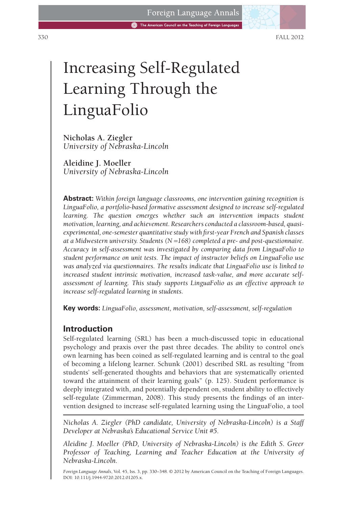330 FALL 2012

# Increasing Self-Regulated Learning Through the LinguaFolio

**Nicholas A. Ziegler** *University of Nebraska-Lincoln*

**Aleidine J. Moeller** *University of Nebraska-Lincoln*

**Abstract:** *Within foreign language classrooms, one intervention gaining recognition is LinguaFolio, a portfolio-based formative assessment designed to increase self-regulated learning.* The question emerges whether such an intervention impacts student *motivation, learning, and achievement. Researchers conducted a classroom-based, quasiexperimental, one-semester quantitative study with first-year French and Spanish classes at a Midwestern university. Students (N* =*168) completed a pre- and post-questionnaire. Accuracy in self-assessment was investigated by comparing data from LinguaFolio to student performance on unit tests. The impact of instructor beliefs on LinguaFolio use was analyzed via questionnaires. The results indicate that LinguaFolio use is linked to increased student intrinsic motivation, increased task-value, and more accurate selfassessment of learning. This study supports LinguaFolio as an effective approach to increase self-regulated learning in students.*

**Key words:** *LinguaFolio, assessment, motivation, self-assessment, self-regulation* 

## **Introduction**

Self-regulated learning (SRL) has been a much-discussed topic in educational psychology and praxis over the past three decades. The ability to control one's own learning has been coined as self-regulated learning and is central to the goal of becoming a lifelong learner. Schunk (2001) described SRL as resulting "from students' self-generated thoughts and behaviors that are systematically oriented toward the attainment of their learning goals" (p. 125). Student performance is deeply integrated with, and potentially dependent on, student ability to effectively self-regulate (Zimmerman, 2008). This study presents the findings of an intervention designed to increase self-regulated learning using the LinguaFolio, a tool

*Nicholas A. Ziegler (PhD candidate, University of Nebraska-Lincoln) is a Staff Developer at Nebraska's Educational Service Unit #5.*

*Aleidine J. Moeller (PhD, University of Nebraska-Lincoln) is the Edith S. Greer Professor of Teaching, Learning and Teacher Education at the University of Nebraska-Lincoln.*

*Foreign Language Annals*, Vol. 45, Iss. 3, pp. 330–348. © 2012 by American Council on the Teaching of Foreign Languages. DOI: 10.111/j.1944-9720.2012.01205.x.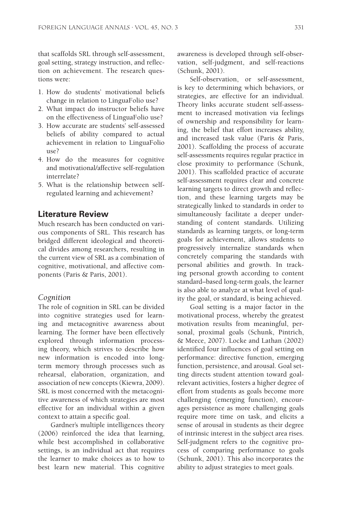that scaffolds SRL through self-assessment, goal setting, strategy instruction, and reflection on achievement. The research questions were:

- 1. How do students' motivational beliefs change in relation to LinguaFolio use?
- 2. What impact do instructor beliefs have on the effectiveness of LinguaFolio use?
- 3. How accurate are students' self-assessed beliefs of ability compared to actual achievement in relation to LinguaFolio use?
- 4. How do the measures for cognitive and motivational/affective self-regulation interrelate?
- 5. What is the relationship between selfregulated learning and achievement?

# **Literature Review**

Much research has been conducted on various components of SRL. This research has bridged different ideological and theoretical divides among researchers, resulting in the current view of SRL as a combination of cognitive, motivational, and affective components (Paris & Paris, 2001).

#### *Cognition*

The role of cognition in SRL can be divided into cognitive strategies used for learning and metacognitive awareness about learning. The former have been effectively explored through information processing theory, which strives to describe how new information is encoded into longterm memory through processes such as rehearsal, elaboration, organization, and association of new concepts (Kiewra, 2009). SRL is most concerned with the metacognitive awareness of which strategies are most effective for an individual within a given context to attain a specific goal.

Gardner's multiple intelligences theory (2006) reinforced the idea that learning, while best accomplished in collaborative settings, is an individual act that requires the learner to make choices as to how to best learn new material. This cognitive

awareness is developed through self-observation, self-judgment, and self-reactions (Schunk, 2001).

Self-observation, or self-assessment, is key to determining which behaviors, or strategies, are effective for an individual. Theory links accurate student self-assessment to increased motivation via feelings of ownership and responsibility for learning, the belief that effort increases ability, and increased task value (Paris & Paris, 2001). Scaffolding the process of accurate self-assessments requires regular practice in close proximity to performance (Schunk, 2001). This scaffolded practice of accurate self-assessment requires clear and concrete learning targets to direct growth and reflection, and these learning targets may be strategically linked to standards in order to simultaneously facilitate a deeper understanding of content standards. Utilizing standards as learning targets, or long-term goals for achievement, allows students to progressively internalize standards when concretely comparing the standards with personal abilities and growth. In tracking personal growth according to content standard–based long-term goals, the learner is also able to analyze at what level of quality the goal, or standard, is being achieved.

Goal setting is a major factor in the motivational process, whereby the greatest motivation results from meaningful, personal, proximal goals (Schunk, Pintrich, & Meece, 2007). Locke and Lathan (2002) identified four influences of goal setting on performance: directive function, emerging function, persistence, and arousal. Goal setting directs student attention toward goalrelevant activities, fosters a higher degree of effort from students as goals become more challenging (emerging function), encourages persistence as more challenging goals require more time on task, and elicits a sense of arousal in students as their degree of intrinsic interest in the subject area rises. Self-judgment refers to the cognitive process of comparing performance to goals (Schunk, 2001). This also incorporates the ability to adjust strategies to meet goals.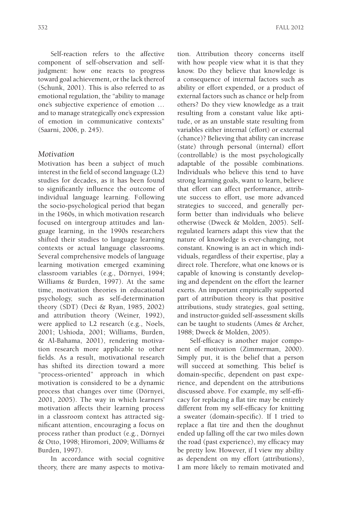Self-reaction refers to the affective component of self-observation and selfjudgment: how one reacts to progress toward goal achievement, or the lack thereof (Schunk, 2001). This is also referred to as emotional regulation, the "ability to manage one's subjective experience of emotion … and to manage strategically one's expression of emotion in communicative contexts" (Saarni, 2006, p. 245).

## *Motivation*

Motivation has been a subject of much interest in the field of second language  $(L2)$ studies for decades, as it has been found to significantly influence the outcome of individual language learning. Following the socio-psychological period that began in the 1960s, in which motivation research focused on intergroup attitudes and language learning, in the 1990s researchers shifted their studies to language learning contexts or actual language classrooms. Several comprehensive models of language learning motivation emerged examining classroom variables (e.g., Dörnyei, 1994; Williams & Burden, 1997). At the same time, motivation theories in educational psychology, such as self-determination theory (SDT) (Deci & Ryan, 1985, 2002) and attribution theory (Weiner, 1992), were applied to L2 research (e.g., Noels, 2001; Ushioda, 2001; Williams, Burden, & Al-Bahama, 2001), rendering motivation research more applicable to other fields. As a result, motivational research has shifted its direction toward a more "process-oriented" approach in which motivation is considered to be a dynamic process that changes over time (Dörnyei, 2001, 2005). The way in which learners' motivation affects their learning process in a classroom context has attracted significant attention, encouraging a focus on process rather than product (e.g., Dörnyei & Otto, 1998; Hiromori, 2009; Williams & Burden, 1997).

In accordance with social cognitive theory, there are many aspects to motiva-

tion. Attribution theory concerns itself with how people view what it is that they know. Do they believe that knowledge is a consequence of internal factors such as ability or effort expended, or a product of external factors such as chance or help from others? Do they view knowledge as a trait resulting from a constant value like aptitude, or as an unstable state resulting from variables either internal (effort) or external (chance)? Believing that ability can increase (state) through personal (internal) effort (controllable) is the most psychologically adaptable of the possible combinations. Individuals who believe this tend to have strong learning goals, want to learn, believe that effort can affect performance, attribute success to effort, use more advanced strategies to succeed, and generally perform better than individuals who believe otherwise (Dweck & Molden, 2005). Selfregulated learners adapt this view that the nature of knowledge is ever-changing, not constant. Knowing is an act in which individuals, regardless of their expertise, play a direct role. Therefore, what one knows or is capable of knowing is constantly developing and dependent on the effort the learner exerts. An important empirically supported part of attribution theory is that positive attributions, study strategies, goal setting, and instructor-guided self-assessment skills can be taught to students (Ames & Archer, 1988; Dweck & Molden, 2005).

Self-efficacy is another major component of motivation (Zimmerman, 2000). Simply put, it is the belief that a person will succeed at something. This belief is domain-specific, dependent on past experience, and dependent on the attributions discussed above. For example, my self-efficacy for replacing a flat tire may be entirely different from my self-efficacy for knitting a sweater (domain-specific). If I tried to replace a flat tire and then the doughnut ended up falling off the car two miles down the road (past experience), my efficacy may be pretty low. However, if I view my ability as dependent on my effort (attributions), I am more likely to remain motivated and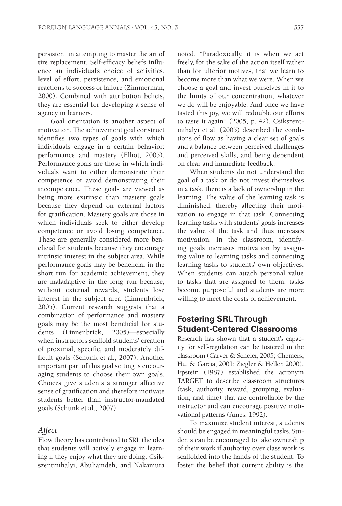persistent in attempting to master the art of tire replacement. Self-efficacy beliefs influence an individual's choice of activities, level of effort, persistence, and emotional reactions to success or failure (Zimmerman, 2000). Combined with attribution beliefs, they are essential for developing a sense of agency in learners.

Goal orientation is another aspect of motivation. The achievement goal construct identifies two types of goals with which individuals engage in a certain behavior: performance and mastery (Elliot, 2005). Performance goals are those in which individuals want to either demonstrate their competence or avoid demonstrating their incompetence. These goals are viewed as being more extrinsic than mastery goals because they depend on external factors for gratification. Mastery goals are those in which individuals seek to either develop competence or avoid losing competence. These are generally considered more beneficial for students because they encourage intrinsic interest in the subject area. While performance goals may be beneficial in the short run for academic achievement, they are maladaptive in the long run because, without external rewards, students lose interest in the subject area (Linnenbrick, 2005). Current research suggests that a combination of performance and mastery goals may be the most beneficial for students (Linnenbrick, 2005)—especially when instructors scaffold students' creation of proximal, specific, and moderately difficult goals (Schunk et al., 2007). Another important part of this goal setting is encouraging students to choose their own goals. Choices give students a stronger affective sense of gratification and therefore motivate students better than instructor-mandated goals (Schunk et al., 2007).

## *Affect*

Flow theory has contributed to SRL the idea that students will actively engage in learning if they enjoy what they are doing. Csikszentmihalyi, Abuhamdeh, and Nakamura noted, "Paradoxically, it is when we act freely, for the sake of the action itself rather than for ulterior motives, that we learn to become more than what we were. When we choose a goal and invest ourselves in it to the limits of our concentration, whatever we do will be enjoyable. And once we have tasted this joy, we will redouble our efforts to taste it again" (2005, p. 42). Csikszentmihalyi et al. (2005) described the conditions of flow as having a clear set of goals and a balance between perceived challenges and perceived skills, and being dependent on clear and immediate feedback.

When students do not understand the goal of a task or do not invest themselves in a task, there is a lack of ownership in the learning. The value of the learning task is diminished, thereby affecting their motivation to engage in that task. Connecting learning tasks with students' goals increases the value of the task and thus increases motivation. In the classroom, identifying goals increases motivation by assigning value to learning tasks and connecting learning tasks to students' own objectives. When students can attach personal value to tasks that are assigned to them, tasks become purposeful and students are more willing to meet the costs of achievement.

# **Fostering SRL Through Student-Centered Classrooms**

Research has shown that a student's capacity for self-regulation can be fostered in the classroom (Carver & Scheier, 2005; Chemers, Hu, & Garcia, 2001; Ziegler & Heller, 2000). Epstein (1987) established the acronym TARGET to describe classroom structures (task, authority, reward, grouping, evaluation, and time) that are controllable by the instructor and can encourage positive motivational patterns (Ames, 1992).

To maximize student interest, students should be engaged in meaningful tasks. Students can be encouraged to take ownership of their work if authority over class work is scaffolded into the hands of the student. To foster the belief that current ability is the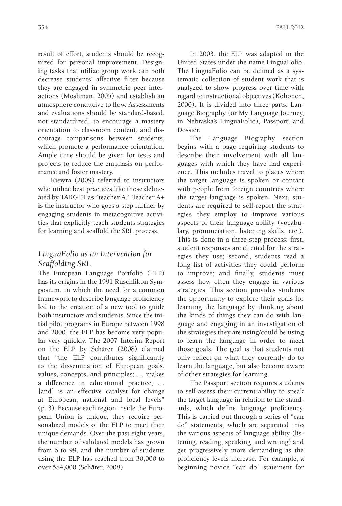result of effort, students should be recognized for personal improvement. Designing tasks that utilize group work can both decrease students' affective filter because they are engaged in symmetric peer interactions (Moshman, 2005) and establish an atmosphere conducive to flow. Assessments and evaluations should be standard-based, not standardized, to encourage a mastery orientation to classroom content, and discourage comparisons between students, which promote a performance orientation. Ample time should be given for tests and projects to reduce the emphasis on performance and foster mastery.

Kiewra (2009) referred to instructors who utilize best practices like those delineated by TARGET as "teacher A." Teacher A+ is the instructor who goes a step further by engaging students in metacognitive activities that explicitly teach students strategies for learning and scaffold the SRL process.

# *LinguaFolio as an Intervention for Scaffolding SRL*

The European Language Portfolio (ELP) has its origins in the 1991 Rüschlikon Symposium, in which the need for a common framework to describe language proficiency led to the creation of a new tool to guide both instructors and students. Since the initial pilot programs in Europe between 1998 and 2000, the ELP has become very popular very quickly. The 2007 Interim Report on the ELP by Schärer (2008) claimed that "the ELP contributes significantly to the dissemination of European goals, values, concepts, and principles; … makes a difference in educational practice; … [and] is an effective catalyst for change at European, national and local levels" (p. 3). Because each region inside the European Union is unique, they require personalized models of the ELP to meet their unique demands. Over the past eight years, the number of validated models has grown from 6 to 99, and the number of students using the ELP has reached from 30,000 to over 584,000 (Schärer, 2008).

In 2003, the ELP was adapted in the United States under the name LinguaFolio. The LinguaFolio can be defined as a systematic collection of student work that is analyzed to show progress over time with regard to instructional objectives (Kohonen, 2000). It is divided into three parts: Language Biography (or My Language Journey, in Nebraska's LinguaFolio), Passport, and Dossier.

The Language Biography section begins with a page requiring students to describe their involvement with all languages with which they have had experience. This includes travel to places where the target language is spoken or contact with people from foreign countries where the target language is spoken. Next, students are required to self-report the strategies they employ to improve various aspects of their language ability (vocabulary, pronunciation, listening skills, etc.). This is done in a three-step process: first, student responses are elicited for the strategies they use; second, students read a long list of activities they could perform to improve; and finally, students must assess how often they engage in various strategies. This section provides students the opportunity to explore their goals for learning the language by thinking about the kinds of things they can do with language and engaging in an investigation of the strategies they are using/could be using to learn the language in order to meet those goals. The goal is that students not only reflect on what they currently do to learn the language, but also become aware of other strategies for learning.

The Passport section requires students to self-assess their current ability to speak the target language in relation to the standards, which define language proficiency. This is carried out through a series of "can do" statements, which are separated into the various aspects of language ability (listening, reading, speaking, and writing) and get progressively more demanding as the proficiency levels increase. For example, a beginning novice "can do" statement for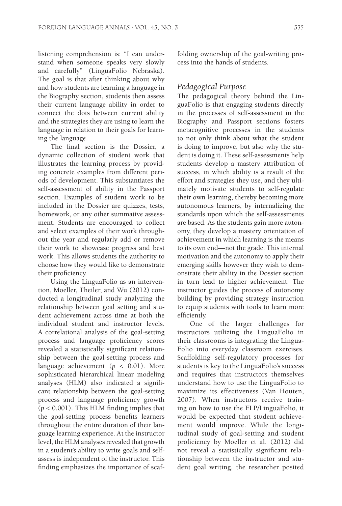listening comprehension is: "I can understand when someone speaks very slowly and carefully" (LinguaFolio Nebraska). The goal is that after thinking about why and how students are learning a language in the Biography section, students then assess their current language ability in order to connect the dots between current ability and the strategies they are using to learn the language in relation to their goals for learning the language.

The final section is the Dossier, a dynamic collection of student work that illustrates the learning process by providing concrete examples from different periods of development. This substantiates the self-assessment of ability in the Passport section. Examples of student work to be included in the Dossier are quizzes, tests, homework, or any other summative assessment. Students are encouraged to collect and select examples of their work throughout the year and regularly add or remove their work to showcase progress and best work. This allows students the authority to choose how they would like to demonstrate their proficiency.

Using the LinguaFolio as an intervention, Moeller, Theiler, and Wu (2012) conducted a longitudinal study analyzing the relationship between goal setting and student achievement across time at both the individual student and instructor levels. A correlational analysis of the goal-setting process and language proficiency scores revealed a statistically significant relationship between the goal-setting process and language achievement (*p* < 0.01). More sophisticated hierarchical linear modeling analyses (HLM) also indicated a significant relationship between the goal-setting process and language proficiency growth  $(p < 0.001)$ . This HLM finding implies that the goal-setting process benefits learners throughout the entire duration of their language learning experience. At the instructor level, the HLM analyses revealed that growth in a student's ability to write goals and selfassess is independent of the instructor. This finding emphasizes the importance of scaffolding ownership of the goal-writing process into the hands of students.

#### *Pedagogical Purpose*

The pedagogical theory behind the LinguaFolio is that engaging students directly in the processes of self-assessment in the Biography and Passport sections fosters metacognitive processes in the students to not only think about what the student is doing to improve, but also why the student is doing it. These self-assessments help students develop a mastery attribution of success, in which ability is a result of the effort and strategies they use, and they ultimately motivate students to self-regulate their own learning, thereby becoming more autonomous learners, by internalizing the standards upon which the self-assessments are based. As the students gain more autonomy, they develop a mastery orientation of achievement in which learning is the means to its own end—not the grade. This internal motivation and the autonomy to apply their emerging skills however they wish to demonstrate their ability in the Dossier section in turn lead to higher achievement. The instructor guides the process of autonomy building by providing strategy instruction to equip students with tools to learn more efficiently.

One of the larger challenges for instructors utilizing the LinguaFolio in their classrooms is integrating the Lingua-Folio into everyday classroom exercises. Scaffolding self-regulatory processes for students is key to the LinguaFolio's success and requires that instructors themselves understand how to use the LinguaFolio to maximize its effectiveness (Van Houten, 2007). When instructors receive training on how to use the ELP/LinguaFolio, it would be expected that student achievement would improve. While the longitudinal study of goal-setting and student proficiency by Moeller et al. (2012) did not reveal a statistically significant relationship between the instructor and student goal writing, the researcher posited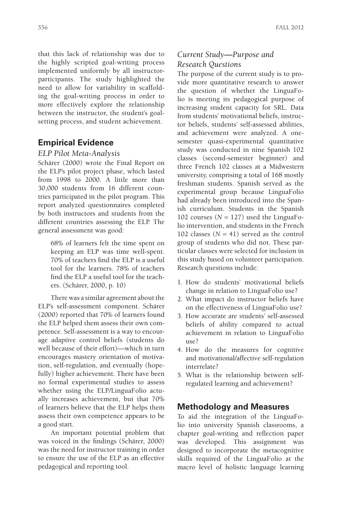that this lack of relationship was due to the highly scripted goal-writing process implemented uniformly by all instructorparticipants. The study highlighted the need to allow for variability in scaffolding the goal-writing process in order to more effectively explore the relationship between the instructor, the student's goalsetting process, and student achievement.

# **Empirical Evidence**

#### *ELP Pilot Meta-Analysis*

Schärer (2000) wrote the Final Report on the ELP's pilot project phase, which lasted from 1998 to 2000. A little more than 30,000 students from 16 different countries participated in the pilot program. This report analyzed questionnaires completed by both instructors and students from the different countries assessing the ELP. The general assessment was good:

> 68% of learners felt the time spent on keeping an ELP was time well-spent. 70% of teachers find the ELP is a useful tool for the learners. 78% of teachers find the ELP a useful tool for the teachers. (Schärer, 2000, p. 10)

There was a similar agreement about the ELP's self-assessment component. Schärer (2000) reported that 70% of learners found the ELP helped them assess their own competence. Self-assessment is a way to encourage adaptive control beliefs (students do well because of their effort)—which in turn encourages mastery orientation of motivation, self-regulation, and eventually (hopefully) higher achievement. There have been no formal experimental studies to assess whether using the ELP/LinguaFolio actually increases achievement, but that 70% of learners believe that the ELP helps them assess their own competence appears to be a good start.

An important potential problem that was voiced in the findings (Schärer, 2000) was the need for instructor training in order to ensure the use of the ELP as an effective pedagogical and reporting tool.

# *Current Study***—***Purpose and Research Questions*

The purpose of the current study is to provide more quantitative research to answer the question of whether the LinguaFolio is meeting its pedagogical purpose of increasing student capacity for SRL. Data from students' motivational beliefs, instructor beliefs, students' self-assessed abilities, and achievement were analyzed. A onesemester quasi-experimental quantitative study was conducted in nine Spanish 102 classes (second-semester beginner) and three French 102 classes at a Midwestern university, comprising a total of 168 mostly freshman students. Spanish served as the experimental group because LinguaFolio had already been introduced into the Spanish curriculum. Students in the Spanish 102 courses (*N* = 127) used the LinguaFolio intervention, and students in the French 102 classes  $(N = 41)$  served as the control group of students who did not. These particular classes were selected for inclusion in this study based on volunteer participation. Research questions include:

- 1. How do students' motivational beliefs change in relation to LinguaFolio use?
- 2. What impact do instructor beliefs have on the effectiveness of LinguaFolio use?
- 3. How accurate are students' self-assessed beliefs of ability compared to actual achievement in relation to LinguaFolio use?
- 4. How do the measures for cognitive and motivational/affective self-regulation interrelate?
- 5. What is the relationship between selfregulated learning and achievement?

# **Methodology and Measures**

To aid the integration of the LinguaFolio into university Spanish classrooms, a chapter goal-writing and reflection paper was developed. This assignment was designed to incorporate the metacognitive skills required of the LinguaFolio at the macro level of holistic language learning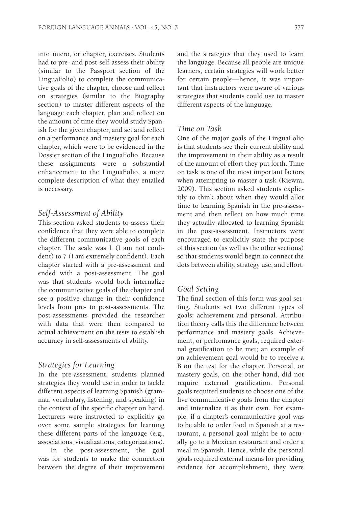into micro, or chapter, exercises. Students had to pre- and post-self-assess their ability (similar to the Passport section of the LinguaFolio) to complete the communicative goals of the chapter, choose and reflect on strategies (similar to the Biography section) to master different aspects of the language each chapter, plan and reflect on the amount of time they would study Spanish for the given chapter, and set and reflect on a performance and mastery goal for each chapter, which were to be evidenced in the Dossier section of the LinguaFolio. Because these assignments were a substantial enhancement to the LinguaFolio, a more complete description of what they entailed is necessary.

## *Self-Assessment of Ability*

This section asked students to assess their confidence that they were able to complete the different communicative goals of each chapter. The scale was 1 (I am not confident) to 7 (I am extremely confident). Each chapter started with a pre-assessment and ended with a post-assessment. The goal was that students would both internalize the communicative goals of the chapter and see a positive change in their confidence levels from pre- to post-assessments. The post-assessments provided the researcher with data that were then compared to actual achievement on the tests to establish accuracy in self-assessments of ability.

#### *Strategies for Learning*

In the pre-assessment, students planned strategies they would use in order to tackle different aspects of learning Spanish (grammar, vocabulary, listening, and speaking) in the context of the specific chapter on hand. Lecturers were instructed to explicitly go over some sample strategies for learning these different parts of the language (e.g., associations, visualizations, categorizations).

In the post-assessment, the goal was for students to make the connection between the degree of their improvement and the strategies that they used to learn the language. Because all people are unique learners, certain strategies will work better for certain people—hence, it was important that instructors were aware of various strategies that students could use to master different aspects of the language.

## *Time on Task*

One of the major goals of the LinguaFolio is that students see their current ability and the improvement in their ability as a result of the amount of effort they put forth. Time on task is one of the most important factors when attempting to master a task (Kiewra, 2009). This section asked students explicitly to think about when they would allot time to learning Spanish in the pre-assessment and then reflect on how much time they actually allocated to learning Spanish in the post-assessment. Instructors were encouraged to explicitly state the purpose of this section (as well as the other sections) so that students would begin to connect the dots between ability, strategy use, and effort.

## *Goal Setting*

The final section of this form was goal setting. Students set two different types of goals: achievement and personal. Attribution theory calls this the difference between performance and mastery goals. Achievement, or performance goals, required external gratification to be met; an example of an achievement goal would be to receive a B on the test for the chapter. Personal, or mastery goals, on the other hand, did not require external gratification. Personal goals required students to choose one of the five communicative goals from the chapter and internalize it as their own. For example, if a chapter's communicative goal was to be able to order food in Spanish at a restaurant, a personal goal might be to actually go to a Mexican restaurant and order a meal in Spanish. Hence, while the personal goals required external means for providing evidence for accomplishment, they were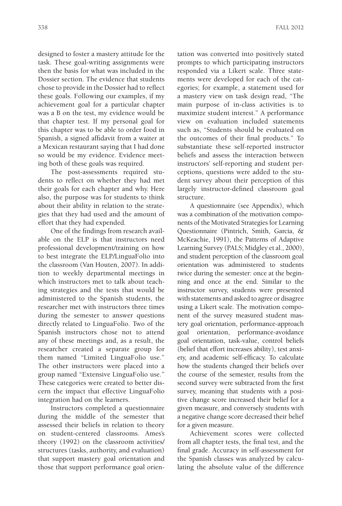designed to foster a mastery attitude for the task. These goal-writing assignments were then the basis for what was included in the Dossier section. The evidence that students chose to provide in the Dossier had to reflect these goals. Following our examples, if my achievement goal for a particular chapter was a B on the test, my evidence would be that chapter test. If my personal goal for this chapter was to be able to order food in Spanish, a signed affidavit from a waiter at a Mexican restaurant saying that I had done so would be my evidence. Evidence meeting both of these goals was required.

The post-assessments required students to reflect on whether they had met their goals for each chapter and why. Here also, the purpose was for students to think about their ability in relation to the strategies that they had used and the amount of effort that they had expended.

One of the findings from research available on the ELP is that instructors need professional development/training on how to best integrate the ELP/LinguaFolio into the classroom (Van Houten, 2007). In addition to weekly departmental meetings in which instructors met to talk about teaching strategies and the tests that would be administered to the Spanish students, the researcher met with instructors three times during the semester to answer questions directly related to LinguaFolio. Two of the Spanish instructors chose not to attend any of these meetings and, as a result, the researcher created a separate group for them named "Limited LinguaFolio use." The other instructors were placed into a group named "Extensive LinguaFolio use." These categories were created to better discern the impact that effective LinguaFolio integration had on the learners.

Instructors completed a questionnaire during the middle of the semester that assessed their beliefs in relation to theory on student-centered classrooms. Ames's theory (1992) on the classroom activities/ structures (tasks, authority, and evaluation) that support mastery goal orientation and those that support performance goal orien-

tation was converted into positively stated prompts to which participating instructors responded via a Likert scale. Three statements were developed for each of the categories; for example, a statement used for a mastery view on task design read, "The main purpose of in-class activities is to maximize student interest." A performance view on evaluation included statements such as, "Students should be evaluated on the outcomes of their final products." To substantiate these self-reported instructor beliefs and assess the interaction between instructors' self-reporting and student perceptions, questions were added to the student survey about their perception of this largely instructor-defined classroom goal structure.

A questionnaire (see Appendix), which was a combination of the motivation components of the Motivated Strategies for Learning Questionnaire (Pintrich, Smith, Garcia, & McKeachie, 1991), the Patterns of Adaptive Learning Survey (PALS; Midgley et al., 2000), and student perception of the classroom goal orientation was administered to students twice during the semester: once at the beginning and once at the end. Similar to the instructor survey, students were presented with statements and asked to agree or disagree using a Likert scale. The motivation component of the survey measured student mastery goal orientation, performance-approach goal orientation, performance-avoidance goal orientation, task-value, control beliefs (belief that effort increases ability), test anxiety, and academic self-efficacy. To calculate how the students changed their beliefs over the course of the semester, results from the second survey were subtracted from the first survey, meaning that students with a positive change score increased their belief for a given measure, and conversely students with a negative change score decreased their belief for a given measure.

Achievement scores were collected from all chapter tests, the final test, and the final grade. Accuracy in self-assessment for the Spanish classes was analyzed by calculating the absolute value of the difference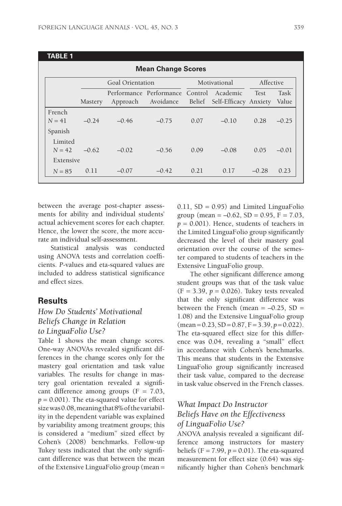| TABLE |  |
|-------|--|
|-------|--|

|                                         |                | Goal Orientation |                                                       |      | Motivational                 | Affective   |               |
|-----------------------------------------|----------------|------------------|-------------------------------------------------------|------|------------------------------|-------------|---------------|
|                                         | <b>Mastery</b> | Approach         | Performance Performance Control Academic<br>Avoidance |      | Belief Self-Efficacy Anxiety | <b>Test</b> | Task<br>Value |
| French<br>$N = 41$<br>Spanish           | $-0.24$        | $-0.46$          | $-0.75$                                               | 0.07 | $-0.10$                      | 0.28        | $-0.25$       |
| Limited<br>$N = 42$<br><b>Extensive</b> | $-0.62$        | $-0.02$          | $-0.56$                                               | 0.09 | $-0.08$                      | 0.05        | $-0.01$       |
| $N = 85$                                | 0.11           | $-0.07$          | $-0.42$                                               | 0.21 | 0.17                         | $-0.28$     | 0.23          |

between the average post-chapter assessments for ability and individual students' actual achievement scores for each chapter. Hence, the lower the score, the more accurate an individual self-assessment.

Statistical analysis was conducted using ANOVA tests and correlation coefficients. *P*-values and eta-squared values are included to address statistical significance and effect sizes.

# **Results**

# *How Do Students' Motivational Beliefs Change in Relation to LinguaFolio Use?*

Table 1 shows the mean change scores. One-way ANOVAs revealed significant differences in the change scores only for the mastery goal orientation and task value variables. The results for change in mastery goal orientation revealed a significant difference among groups ( $F = 7.03$ ,  $p = 0.001$ ). The eta-squared value for effect size was 0.08, meaning that 8% of the variability in the dependent variable was explained by variability among treatment groups; this is considered a "medium" sized effect by Cohen's (2008) benchmarks. Follow-up Tukey tests indicated that the only significant difference was that between the mean of the Extensive LinguaFolio group (mean =  $0.11$ , SD = 0.95) and Limited LinguaFolio group (mean =  $-0.62$ , SD = 0.95, F = 7.03,  $p = 0.001$ ). Hence, students of teachers in the Limited LinguaFolio group significantly decreased the level of their mastery goal orientation over the course of the semester compared to students of teachers in the Extensive LinguaFolio group.

The other significant difference among student groups was that of the task value  $(F = 3.39, p = 0.026)$ . Tukey tests revealed that the only significant difference was between the French (mean  $= -0.25$ , SD  $=$ 1.08) and the Extensive LinguaFolio group  $(\text{mean} = 0.23, \text{SD} = 0.87, \text{F} = 3.39, p = 0.022).$ The eta-squared effect size for this difference was 0.04, revealing a "small" effect in accordance with Cohen's benchmarks. This means that students in the Extensive LinguaFolio group significantly increased their task value, compared to the decrease in task value observed in the French classes.

# *What Impact Do Instructor Beliefs Have on the Effectiveness of LinguaFolio Use?*

ANOVA analysis revealed a significant difference among instructors for mastery beliefs  $(F = 7.99, p = 0.01)$ . The eta-squared measurement for effect size (0.64) was significantly higher than Cohen's benchmark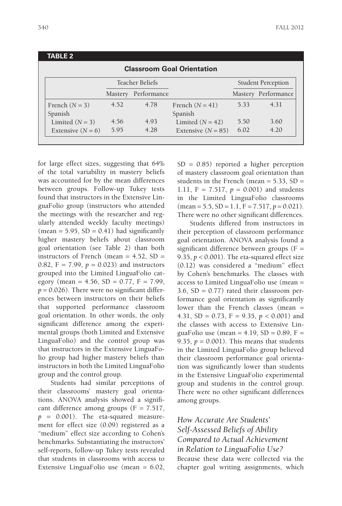| 340 | <b>FALL 2012</b> |
|-----|------------------|
|     |                  |

| <b>TABLE 2</b>      |         |                 |                                   |      |                           |
|---------------------|---------|-----------------|-----------------------------------|------|---------------------------|
|                     |         |                 | <b>Classroom Goal Orientation</b> |      |                           |
|                     |         | Teacher Beliefs |                                   |      | <b>Student Perception</b> |
|                     | Mastery | Performance     |                                   |      | Mastery Performance       |
| French $(N = 3)$    | 4.52    | 4.78            | French $(N = 41)$                 | 5.33 | 4.31                      |
| Spanish             |         |                 | Spanish                           |      |                           |
| Limited $(N = 3)$   | 4.56    | 4.93            | Limited $(N = 42)$                | 5.50 | 3.60                      |
| Extensive $(N = 6)$ | 5.95    | 4.28            | Extensive $(N = 85)$              | 6.02 | 4.20                      |
|                     |         |                 |                                   |      |                           |

for large effect sizes, suggesting that 64% of the total variability in mastery beliefs was accounted for by the mean differences between groups. Follow-up Tukey tests found that instructors in the Extensive LinguaFolio group (instructors who attended the meetings with the researcher and regularly attended weekly faculty meetings) (mean =  $5.95$ , SD = 0.41) had significantly higher mastery beliefs about classroom goal orientation (see Table 2) than both instructors of French (mean  $= 4.52$ , SD  $=$ 0.82,  $F = 7.99$ ,  $p = 0.023$ ) and instructors grouped into the Limited LinguaFolio category (mean =  $4.56$ , SD =  $0.77$ , F =  $7.99$ ,  $p = 0.026$ ). There were no significant differences between instructors on their beliefs that supported performance classroom goal orientation. In other words, the only significant difference among the experimental groups (both Limited and Extensive LinguaFolio) and the control group was that instructors in the Extensive LinguaFolio group had higher mastery beliefs than instructors in both the Limited LinguaFolio group and the control group.

Students had similar perceptions of their classrooms' mastery goal orientations. ANOVA analysis showed a significant difference among groups  $(F = 7.517,$ *p* = 0.001). The eta-squared measurement for effect size (0.09) registered as a "medium" effect size according to Cohen's benchmarks. Substantiating the instructors' self-reports, follow-up Tukey tests revealed that students in classrooms with access to Extensive LinguaFolio use (mean = 6.02,

SD = 0.85) reported a higher perception of mastery classroom goal orientation than students in the French (mean  $=$  5.33, SD  $=$ 1.11, F = 7.517, *p* = 0.001) and students in the Limited LinguaFolio classrooms  $(\text{mean} = 5.5, SD = 1.1, F = 7.517, p = 0.021).$ There were no other significant differences.

Students differed from instructors in their perception of classroom performance goal orientation. ANOVA analysis found a significant difference between groups ( $F =$ 9.35, *p* < 0.001). The eta-squared effect size (0.12) was considered a "medium" effect by Cohen's benchmarks. The classes with access to Limited LinguaFolio use (mean =  $3.6, SD = 0.77$  rated their classroom performance goal orientation as significantly lower than the French classes (mean = 4.31, SD = 0.73, F = 9.35, *p* < 0.001) and the classes with access to Extensive LinguaFolio use (mean =  $4.19$ , SD = 0.89, F = 9.35,  $p = 0.001$ ). This means that students in the Limited LinguaFolio group believed their classroom performance goal orientation was significantly lower than students in the Extensive LinguaFolio experimental group and students in the control group. There were no other significant differences among groups.

*How Accurate Are Students' Self-Assessed Beliefs of Ability Compared to Actual Achievement in Relation to LinguaFolio Use?* Because these data were collected via the chapter goal writing assignments, which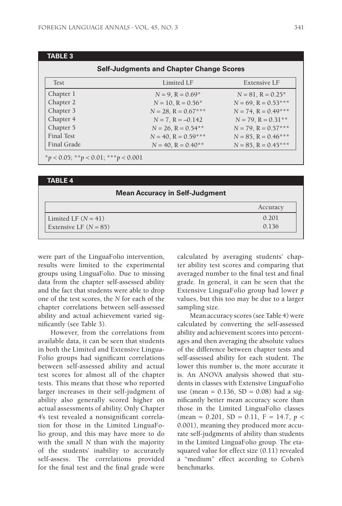| <b>TABLE 3</b> | <b>Self-Judgments and Chapter Change Scores</b> |                          |
|----------------|-------------------------------------------------|--------------------------|
| <b>Test</b>    | Limited LF                                      | Extensive LF             |
| Chapter 1      | $N = 9$ , $R = 0.69*$                           | $N = 81$ , $R = 0.25*$   |
| Chapter 2      | $N = 10$ , $R = 0.56*$                          | $N = 69$ , $R = 0.53***$ |
| Chapter 3      | $N = 28$ , $R = 0.67***$                        | $N = 74$ , $R = 0.49***$ |
| Chapter 4      | $N = 7$ , $R = -0.142$                          | $N = 79$ , $R = 0.31**$  |
| Chapter 5      | $N = 26$ , $R = 0.54**$                         | $N = 79$ , $R = 0.57***$ |
| Final Test     | $N = 40$ , $R = 0.59***$                        | $N = 85$ , $R = 0.46***$ |
| Final Grade    | $N = 40$ , $R = 0.40**$                         | $N = 85$ , $R = 0.45***$ |

| TABLE 4 |  |
|---------|--|
|---------|--|

| <b>Mean Accuracy in Self-Judgment</b> |          |
|---------------------------------------|----------|
|                                       | Accuracy |
| Limited LF $(N = 41)$                 | 0.201    |
| Extensive LF $(N = 85)$               | 0.136    |

were part of the LinguaFolio intervention, results were limited to the experimental groups using LinguaFolio. Due to missing data from the chapter self-assessed ability and the fact that students were able to drop one of the test scores, the *N* for each of the chapter correlations between self-assessed ability and actual achievement varied significantly (see Table 3).

However, from the correlations from available data, it can be seen that students in both the Limited and Extensive Lingua-Folio groups had significant correlations between self-assessed ability and actual test scores for almost all of the chapter tests. This means that those who reported larger increases in their self-judgment of ability also generally scored higher on actual assessments of ability. Only Chapter 4's test revealed a nonsignificant correlation for those in the Limited LinguaFolio group, and this may have more to do with the small *N* than with the majority of the students' inability to accurately self-assess. The correlations provided for the final test and the final grade were

calculated by averaging students' chapter ability test scores and comparing that averaged number to the final test and final grade. In general, it can be seen that the Extensive LinguaFolio group had lower *p* values, but this too may be due to a larger sampling size.

Mean accuracy scores (see Table 4) were calculated by converting the self-assessed ability and achievement scores into percentages and then averaging the absolute values of the difference between chapter tests and self-assessed ability for each student. The lower this number is, the more accurate it is. An ANOVA analysis showed that students in classes with Extensive LinguaFolio use (mean =  $0.136$ , SD =  $0.08$ ) had a significantly better mean accuracy score than those in the Limited LinguaFolio classes  $(\text{mean} = 0.201, SD = 0.11, F = 14.7, p <$ 0.001), meaning they produced more accurate self-judgments of ability than students in the Limited LinguaFolio group. The etasquared value for effect size (0.11) revealed a "medium" effect according to Cohen's benchmarks.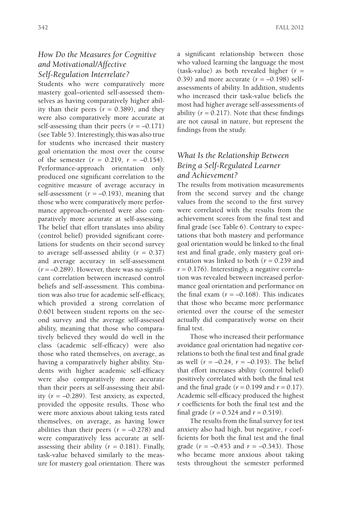# *How Do the Measures for Cognitive and Motivational/Affective Self-Regulation Interrelate?*

Students who were comparatively more mastery goal–oriented self-assessed themselves as having comparatively higher ability than their peers  $(r = 0.389)$ , and they were also comparatively more accurate at self-assessing than their peers  $(r = -0.171)$ (see Table 5). Interestingly, this was also true for students who increased their mastery goal orientation the most over the course of the semester  $(r = 0.219, r = -0.154)$ . Performance-approach orientation only produced one significant correlation to the cognitive measure of average accuracy in self-assessment  $(r = -0.193)$ , meaning that those who were comparatively more performance approach–oriented were also comparatively more accurate at self-assessing. The belief that effort translates into ability (control belief) provided significant correlations for students on their second survey to average self-assessed ability  $(r = 0.37)$ and average accuracy in self-assessment  $(r = -0.289)$ . However, there was no significant correlation between increased control beliefs and self-assessment. This combination was also true for academic self-efficacy, which provided a strong correlation of 0.601 between student reports on the second survey and the average self-assessed ability, meaning that those who comparatively believed they would do well in the class (academic self-efficacy) were also those who rated themselves, on average, as having a comparatively higher ability. Students with higher academic self-efficacy were also comparatively more accurate than their peers at self-assessing their ability  $(r = -0.289)$ . Test anxiety, as expected, provided the opposite results. Those who were more anxious about taking tests rated themselves, on average, as having lower abilities than their peers  $(r = -0.278)$  and were comparatively less accurate at selfassessing their ability  $(r = 0.181)$ . Finally, task-value behaved similarly to the measure for mastery goal orientation. There was

a significant relationship between those who valued learning the language the most (task-value) as both revealed higher (*r* = 0.39) and more accurate  $(r = -0.198)$  selfassessments of ability. In addition, students who increased their task-value beliefs the most had higher average self-assessments of ability  $(r = 0.217)$ . Note that these findings are not causal in nature, but represent the findings from the study.

# *What Is the Relationship Between Being a Self-Regulated Learner and Achievement?*

The results from motivation measurements from the second survey and the change values from the second to the first survey were correlated with the results from the achievement scores from the final test and final grade (see Table 6). Contrary to expectations that both mastery and performance goal orientation would be linked to the final test and final grade, only mastery goal orientation was linked to both (*r* = 0.239 and  $r = 0.176$ ). Interestingly, a negative correlation was revealed between increased performance goal orientation and performance on the final exam  $(r = -0.168)$ . This indicates that those who became more performance oriented over the course of the semester actually did comparatively worse on their final test.

Those who increased their performance avoidance goal orientation had negative correlations to both the final test and final grade as well (*r* = –0.24, *r* = –0.193). The belief that effort increases ability (control belief) positively correlated with both the final test and the final grade  $(r = 0.199$  and  $r = 0.17$ ). Academic self-efficacy produced the highest *r* coefficients for both the final test and the final grade ( $r = 0.524$  and  $r = 0.519$ ).

The results from the final survey for test anxiety also had high, but negative, *r* coefficients for both the final test and the final grade  $(r = -0.453$  and  $r = -0.343$ ). Those who became more anxious about taking tests throughout the semester performed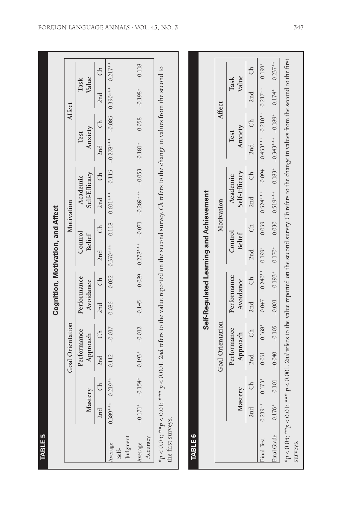| <b>TABLE 5</b>                                                                                                                                                                     |                 |           |                         |                 |           |             |                                         |          |               |          |                        |           |                 |           |
|------------------------------------------------------------------------------------------------------------------------------------------------------------------------------------|-----------------|-----------|-------------------------|-----------------|-----------|-------------|-----------------------------------------|----------|---------------|----------|------------------------|-----------|-----------------|-----------|
|                                                                                                                                                                                    |                 |           |                         |                 |           |             | Cognition, Motivation, and Affect       |          |               |          |                        |           |                 |           |
|                                                                                                                                                                                    |                 |           | <b>Goal Orientation</b> |                 |           |             |                                         |          | Motivation    |          |                        | Affect    |                 |           |
|                                                                                                                                                                                    |                 |           |                         | Performance     |           | Performance | Control                                 |          | Academic      |          | Test                   |           | Task            |           |
|                                                                                                                                                                                    | Mastery         |           |                         | Approach        | Avoidance |             | Belief                                  |          | Self-Efficacy |          | Anxiety                |           | Value           |           |
|                                                                                                                                                                                    | 2 <sub>nd</sub> | ch        | 2nd                     | d               | 2nd       | đ           | 2 <sub>nd</sub>                         | đ        | 2nd           | ට්       | 2 <sub>nd</sub>        | đ         | 2nd             | đ         |
| Average<br>Self-                                                                                                                                                                   | $0.389***$      | $0.219**$ | 0.112                   | $-0.017$        | 0.086     | 0.022       | $0.370***$                              | 0.118    | $0.601***$    | 0.115    | $-0.278***$            | $-0.085$  | $0.390***$      | $0.217**$ |
| Judgment                                                                                                                                                                           |                 |           |                         |                 |           |             |                                         |          |               |          |                        |           |                 |           |
| Accuracy<br>Average                                                                                                                                                                | $-0.171*$       | $-0.154*$ | $-0.193*$               | $-0.012$        | $-0.145$  | $-0.089$    | $-0.278***$                             | $-0.071$ | $-0.289***$   | $-0.053$ | $0.181*$               | 0.058     | $-0.198*$       | $-0.118$  |
| * $p < 0.05$ ; ** $p < 0.01$ ; *** $p < 0.001$ . 2nd refers to the value reported on the second survey. Ch refers to the change in values from the second to<br>the first surveys. |                 |           |                         |                 |           |             |                                         |          |               |          |                        |           |                 |           |
|                                                                                                                                                                                    |                 |           |                         |                 |           |             |                                         |          |               |          |                        |           |                 |           |
| <b>TABLE 6</b>                                                                                                                                                                     |                 |           |                         |                 |           |             |                                         |          |               |          |                        |           |                 |           |
|                                                                                                                                                                                    |                 |           |                         |                 |           |             | Self-Regulated Learning and Achievement |          |               |          |                        |           |                 |           |
|                                                                                                                                                                                    |                 |           | U                       | oal Orientation |           |             |                                         |          | Motivation    |          |                        | Affect    |                 |           |
|                                                                                                                                                                                    |                 |           |                         | Performance     |           | Performance |                                         | Control  | Academic      |          | Test                   |           |                 | Task      |
|                                                                                                                                                                                    |                 | Mastery   |                         | Approach        |           | Avoidance   |                                         | Belief   | Self-Efficacy |          | Anxiety                |           | Value           |           |
|                                                                                                                                                                                    | 2nd             | đ         | 2nd                     | d               | 2nd       | đ           | 2nd                                     | d        | 2nd           | ch       | 2nd                    | đ         | 2 <sub>nd</sub> | đ         |
| Final Test                                                                                                                                                                         | $0.239**$       | $0.173*$  | $-0.051$                | $-0.168*$       | $-0.047$  | $-0.240**$  | $0.199*$                                | 0.059    | $0.524***$    | 0.094    | $-0.453***$ $-0.210**$ |           | $0.217**$       | $0.199*$  |
| Final Grade                                                                                                                                                                        | $0.176*$        | 0.101     | $-0.040$                | $-0.105$        | $-0.001$  | $-0.193*$   | $0.170*$                                | 0.030    | $0.519***$    | $0.183*$ | $-0.343***$            | $-0.189*$ | $0.174*$        | $0.237**$ |
| * $p < 0.05$ ; ** $p < 0.01$ ; *** $p < 0.001$ . 2nd refers to the value reported on the second survey. Ch refers to the change in values from the second to the first<br>surveys. |                 |           |                         |                 |           |             |                                         |          |               |          |                        |           |                 |           |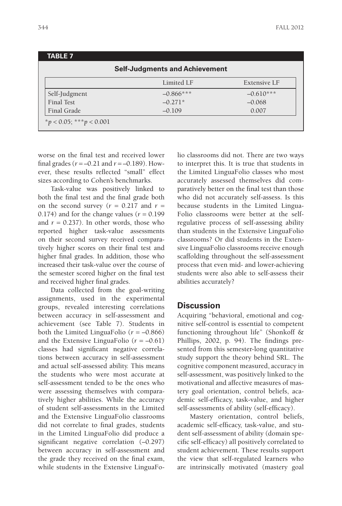| <b>Self-Judgments and Achievement</b> |             |              |  |  |
|---------------------------------------|-------------|--------------|--|--|
|                                       | Limited LF  | Extensive LF |  |  |
| Self-Judgment                         | $-0.866***$ | $-0.610***$  |  |  |
| Final Test                            | $-0.271*$   | $-0.068$     |  |  |
| Final Grade                           | $-0.109$    | 0.007        |  |  |

worse on the final test and received lower final grades  $(r = -0.21$  and  $r = -0.189$ ). However, these results reflected "small" effect sizes according to Cohen's benchmarks.

Task-value was positively linked to both the final test and the final grade both on the second survey ( $r = 0.217$  and  $r =$ 0.174) and for the change values  $(r = 0.199)$ and  $r = 0.237$ ). In other words, those who reported higher task-value assessments on their second survey received comparatively higher scores on their final test and higher final grades. In addition, those who increased their task-value over the course of the semester scored higher on the final test and received higher final grades.

Data collected from the goal-writing assignments, used in the experimental groups, revealed interesting correlations between accuracy in self-assessment and achievement (see Table 7). Students in both the Limited LinguaFolio  $(r = -0.866)$ and the Extensive LinguaFolio  $(r = -0.61)$ classes had significant negative correlations between accuracy in self-assessment and actual self-assessed ability. This means the students who were most accurate at self-assessment tended to be the ones who were assessing themselves with comparatively higher abilities. While the accuracy of student self-assessments in the Limited and the Extensive LinguaFolio classrooms did not correlate to final grades, students in the Limited LinguaFolio did produce a significant negative correlation  $(-0.297)$ between accuracy in self-assessment and the grade they received on the final exam, while students in the Extensive LinguaFolio classrooms did not. There are two ways to interpret this. It is true that students in the Limited LinguaFolio classes who most accurately assessed themselves did comparatively better on the final test than those who did not accurately self-assess. Is this because students in the Limited Lingua-Folio classrooms were better at the selfregulative process of self-assessing ability than students in the Extensive LinguaFolio classrooms? Or did students in the Extensive LinguaFolio classrooms receive enough scaffolding throughout the self-assessment process that even mid- and lower-achieving students were also able to self-assess their abilities accurately?

# **Discussion**

Acquiring "behavioral, emotional and cognitive self-control is essential to competent functioning throughout life" (Shonkoff & Phillips, 2002, p. 94). The findings presented from this semester-long quantitative study support the theory behind SRL. The cognitive component measured, accuracy in self-assessment, was positively linked to the motivational and affective measures of mastery goal orientation, control beliefs, academic self-efficacy, task-value, and higher self-assessments of ability (self-efficacy).

Mastery orientation, control beliefs, academic self-efficacy, task-value, and student self-assessment of ability (domain specific self-efficacy) all positively correlated to student achievement. These results support the view that self-regulated learners who are intrinsically motivated (mastery goal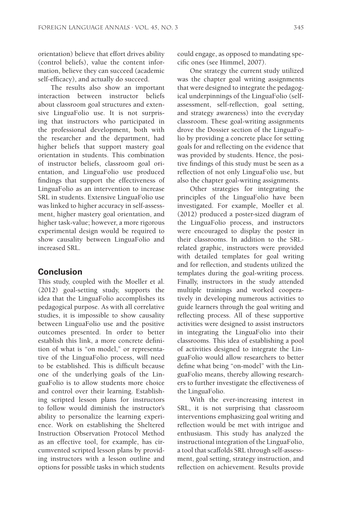orientation) believe that effort drives ability (control beliefs), value the content information, believe they can succeed (academic self-efficacy), and actually do succeed.

The results also show an important interaction between instructor beliefs about classroom goal structures and extensive LinguaFolio use. It is not surprising that instructors who participated in the professional development, both with the researcher and the department, had higher beliefs that support mastery goal orientation in students. This combination of instructor beliefs, classroom goal orientation, and LinguaFolio use produced findings that support the effectiveness of LinguaFolio as an intervention to increase SRL in students. Extensive LinguaFolio use was linked to higher accuracy in self-assessment, higher mastery goal orientation, and higher task-value; however, a more rigorous experimental design would be required to show causality between LinguaFolio and increased SRL.

# **Conclusion**

This study, coupled with the Moeller et al. (2012) goal-setting study, supports the idea that the LinguaFolio accomplishes its pedagogical purpose. As with all correlative studies, it is impossible to show causality between LinguaFolio use and the positive outcomes presented. In order to better establish this link, a more concrete definition of what is "on model," or representative of the LinguaFolio process, will need to be established. This is difficult because one of the underlying goals of the LinguaFolio is to allow students more choice and control over their learning. Establishing scripted lesson plans for instructors to follow would diminish the instructor's ability to personalize the learning experience. Work on establishing the Sheltered Instruction Observation Protocol Method as an effective tool, for example, has circumvented scripted lesson plans by providing instructors with a lesson outline and options for possible tasks in which students could engage, as opposed to mandating specific ones (see Himmel, 2007).

One strategy the current study utilized was the chapter goal writing assignments that were designed to integrate the pedagogical underpinnings of the LinguaFolio (selfassessment, self-reflection, goal setting, and strategy awareness) into the everyday classroom. These goal-writing assignments drove the Dossier section of the LinguaFolio by providing a concrete place for setting goals for and reflecting on the evidence that was provided by students. Hence, the positive findings of this study must be seen as a reflection of not only LinguaFolio use, but also the chapter goal-writing assignments.

Other strategies for integrating the principles of the LinguaFolio have been investigated. For example, Moeller et al. (2012) produced a poster-sized diagram of the LinguaFolio process, and instructors were encouraged to display the poster in their classrooms. In addition to the SRLrelated graphic, instructors were provided with detailed templates for goal writing and for reflection, and students utilized the templates during the goal-writing process. Finally, instructors in the study attended multiple trainings and worked cooperatively in developing numerous activities to guide learners through the goal writing and reflecting process. All of these supportive activities were designed to assist instructors in integrating the LinguaFolio into their classrooms. This idea of establishing a pool of activities designed to integrate the LinguaFolio would allow researchers to better define what being "on-model" with the LinguaFolio means, thereby allowing researchers to further investigate the effectiveness of the LinguaFolio.

With the ever-increasing interest in SRL, it is not surprising that classroom interventions emphasizing goal writing and reflection would be met with intrigue and enthusiasm. This study has analyzed the instructional integration of the LinguaFolio, a tool that scaffolds SRL through self-assessment, goal setting, strategy instruction, and reflection on achievement. Results provide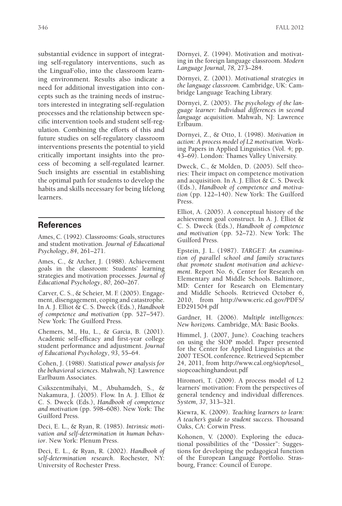substantial evidence in support of integrating self-regulatory interventions, such as the LinguaFolio, into the classroom learning environment. Results also indicate a need for additional investigation into concepts such as the training needs of instructors interested in integrating self-regulation processes and the relationship between specific intervention tools and student self-regulation. Combining the efforts of this and future studies on self-regulatory classroom interventions presents the potential to yield critically important insights into the process of becoming a self-regulated learner. Such insights are essential in establishing the optimal path for students to develop the habits and skills necessary for being lifelong learners.

## **References**

Ames, C. (1992). Classrooms: Goals, structures and student motivation. *Journal of Educational Psychology*, *84*, 261–271.

Ames, C., & Archer, J. (1988). Achievement goals in the classroom: Students' learning strategies and motivation processes. *Journal of Educational Psychology*, *80*, 260–267.

Carver, C. S., & Scheier, M. F. (2005). Engagement, disengagement, coping and catastrophe. In A. J. Elliot & C. S. Dweck (Eds.), *Handbook of competence and motivation* (pp. 527–547). New York: The Guilford Press.

Chemers, M., Hu, L., & Garcia, B. (2001). Academic self-efficacy and first-year college student performance and adjustment. *Journal of Educational Psychology*, *93*, 55–64.

Cohen, J. (1988). *Statistical power analysis for the behavioral sciences*. Mahwah, NJ: Lawrence Earlbaum Associates.

Csikszentmihalyi, M., Abuhamdeh, S., & Nakamura, J. (2005). Flow. In A. J. Elliot & C. S. Dweck (Eds.), *Handbook of competence and motivation* (pp. 598–608). New York: The Guilford Press.

Deci, E. L., & Ryan, R. (1985). *Intrinsic motivation and self-determination in human behavior*. New York: Plenum Press.

Deci, E. L., & Ryan, R. (2002). *Handbook of self-determination research*. Rochester, NY: University of Rochester Press.

Dörnyei, Z. (1994). Motivation and motivating in the foreign language classroom. *Modern Language Journal, 78,* 273–284.

Dörnyei, Z. (2001). *Motivational strategies in the language classroom.* Cambridge, UK: Cambridge Language Teaching Library.

Dörnyei, Z. (2005). *The psychology of the language learner: Individual differences in second language acquisition.* Mahwah, NJ: Lawrence Erlbaum.

Dornyei, Z., & Otto, I. (1998). *Motivation in action: A process model of L2 motivation.* Working Papers in Applied Linguistics (Vol. 4; pp. 43–69). London: Thames Valley University.

Dweck, C., & Molden, D. (2005). Self theories: Their impact on competence motivation and acquisition. In A. J. Elliot & C. S. Dweck (Eds.), *Handbook of competence and motivation* (pp. 122–140). New York: The Guilford Press.

Elliot, A. (2005). A conceptual history of the achievement goal construct. In A. J. Elliot & C. S. Dweck (Eds.), *Handbook of competence and motivation* (pp. 52–72). New York: The Guilford Press.

Epstein, J. L. (1987). *TARGET: An examination of parallel school and family structures that promote student motivation and achievement.* Report No. 6, Center for Research on Elementary and Middle Schools. Baltimore, MD: Center for Research on Elementary and Middle Schools. Retrieved October 6, 2010, from http://www.eric.ed.gov/PDFS/ ED291504.pdf

Gardner, H. (2006). *Multiple intelligences: New horizons.* Cambridge, MA: Basic Books.

Himmel, J. (2007, June). Coaching teachers on using the SIOP model. Paper presented for the Center for Applied Linguistics at the 2007 TESOL conference. Retrieved September 24, 2011, from http://www.cal.org/siop/tesol\_ siopcoachinghandout.pdf

Hiromori, T. (2009). A process model of L2 learners' motivation: From the perspectives of general tendency and individual differences. *System, 37,* 313–321.

Kiewra, K. (2009). *Teaching learners to learn: A teacher's guide to student success.* Thousand Oaks, CA: Corwin Press.

Kohonen, V. (2000). Exploring the educational possibilities of the "Dossier": Suggestions for developing the pedagogical function of the European Language Portfolio. Strasbourg, France: Council of Europe.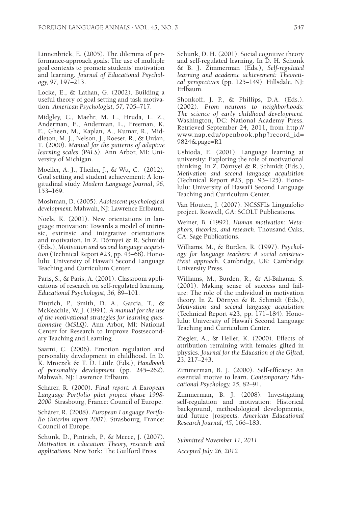Linnenbrick, E. (2005). The dilemma of performance-approach goals: The use of multiple goal contexts to promote students' motivation and learning. *Journal of Educational Psychology, 97,* 197–213.

Locke, E., & Lathan, G. (2002). Building a useful theory of goal setting and task motivation. *American Psychologist, 57,* 705–717.

Midgley, C., Maehr, M. L., Hruda, L. Z., Anderman, E., Anderman, L., Freeman, K. E., Gheen, M., Kaplan, A., Kumar, R., Middleton, M. J., Nelson, J., Roeser, R., & Urdan, T. (2000). *Manual for the patterns of adaptive learning scales (PALS)*. Ann Arbor, MI: University of Michigan.

Moeller, A. J., Theiler, J., & Wu, C. (2012). Goal setting and student achievement: A longitudinal study. *Modern Language Journal*, *96*, 153–169.

Moshman, D. (2005). *Adolescent psychological development.* Mahwah, NJ: Lawrence Erlbaum.

Noels, K. (2001). New orientations in language motivation: Towards a model of intrinsic, extrinsic and integrative orientations and motivation. In Z. Dörnyei & R. Schmidt (Eds.), *Motivation and second language acquisition* (Technical Report #23, pp. 43–68). Honolulu: University of Hawai'i Second Language Teaching and Curriculum Center.

Paris, S., & Paris, A. (2001). Classroom applications of research on self-regulated learning. *Educational Psychologist, 36,* 89–101.

Pintrich, P., Smith, D. A., Garcia, T., & McKeachie, W. J. (1991). *A manual for the use of the motivational strategies for learning questionnaire (MSLQ).* Ann Arbor, MI: National Center for Research to Improve Postsecondary Teaching and Learning.

Saarni, C. (2006). Emotion regulation and personality development in childhood. In D. K. Mroczek & T. D. Little (Eds.), *Handbook of personality development* (pp. 245–262). Mahwah, NJ: Lawrence Erlbaum.

Schärer, R. (2000). *Final report: A European Language Portfolio pilot project phase 1998- 2000.* Strasbourg, France: Council of Europe.

Schärer, R. (2008). *European Language Portfolio (Interim report 2007).* Strasbourg, France: Council of Europe.

Schunk, D., Pintrich, P., & Meece, J. (2007). *Motivation in education: Theory, research and applications.* New York: The Guilford Press.

Schunk, D. H. (2001). Social cognitive theory and self-regulated learning. In D. H. Schunk & B. J. Zimmerman (Eds.), *Self-regulated learning and academic achievement: Theoretical perspectives* (pp. 125–149). Hillsdale, NJ: Erlbaum.

Shonkoff, J. P., & Phillips, D.A. (Eds.). (2002). *From neurons to neighborhoods: The science of early childhood development.*  Washington, DC: National Academy Press. Retrieved September 24, 2011, from http:// www.nap.edu/openbook.php?record\_id= 9824&page=R1

Ushioda, E. (2001). Language learning at university: Exploring the role of motivational thinking. In Z. Dörnyei & R. Schmidt (Eds.), *Motivation and second language acquisition*  (Technical Report #23, pp. 93–125). Honolulu: University of Hawai'i Second Language Teaching and Curriculum Center.

Van Houten, J. (2007). NCSSFL's Linguafolio project. Roswell, GA: SCOLT Publications.

Weiner, B. (1992). *Human motivation: Metaphors, theories, and research.* Thousand Oaks, CA: Sage Publications.

Williams, M., & Burden, R. (1997). *Psychology for language teachers: A social constructivist approach.* Cambridge, UK: Cambridge University Press.

Williams, M., Burden, R., & Al-Bahama, S. (2001). Making sense of success and failure: The role of the individual in motivation theory. In Z. Dörnyei & R. Schmidt (Eds.), *Motivation and second language acquisition*  (Technical Report #23, pp. 171–184). Honolulu: University of Hawai'i Second Language Teaching and Curriculum Center.

Ziegler, A., & Heller, K. (2000). Effects of attribution retraining with females gifted in physics. *Journal for the Education of the Gifted*, *23*, 217–243.

Zimmerman, B. J. (2000). Self-efficacy: An essential motive to learn. *Contemporary Educational Psychology, 25,* 82–91.

Zimmerman, B. J. (2008). Investigating self-regulation and motivation: Historical background, methodological developments, and future [rospects. *American Educational Research Journal*, *45*, 166–183.

*Submitted November 11, 2011 Accepted July 26, 2012*